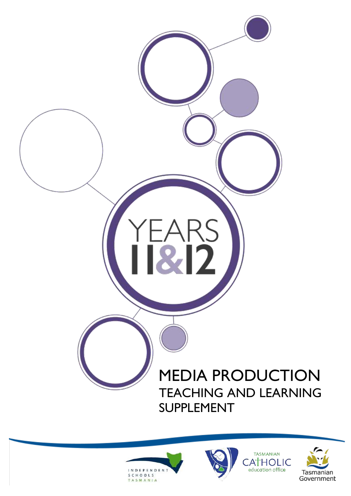# YEARS<br>IRI2 MEDIA PRODUCTION TEACHING AND LEARNING SUPPLEMENT







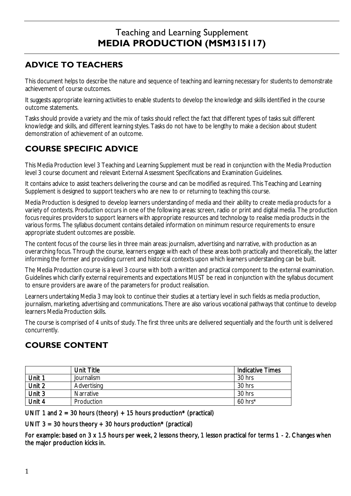# Teaching and Learning Supplement **MEDIA PRODUCTION (MSM315117)**

# **ADVICE TO TEACHERS**

This document helps to describe the nature and sequence of teaching and learning necessary for students to demonstrate achievement of course outcomes.

It suggests appropriate learning activities to enable students to develop the knowledge and skills identified in the course outcome statements.

Tasks should provide a variety and the mix of tasks should reflect the fact that different types of tasks suit different knowledge and skills, and different learning styles. Tasks do not have to be lengthy to make a decision about student demonstration of achievement of an outcome.

# **COURSE SPECIFIC ADVICE**

This Media Production level 3 Teaching and Learning Supplement must be read in conjunction with the Media Production level 3 course document and relevant External Assessment Specifications and Examination Guidelines.

It contains advice to assist teachers delivering the course and can be modified as required. This Teaching and Learning Supplement is designed to support teachers who are new to or returning to teaching this course.

Media Production is designed to develop learners understanding of media and their ability to create media products for a variety of contexts. Production occurs in one of the following areas: screen, radio or print and digital media. The production focus requires providers to support learners with appropriate resources and technology to realise media products in the various forms. The syllabus document contains detailed information on minimum resource requirements to ensure appropriate student outcomes are possible.

The content focus of the course lies in three main areas: journalism, advertising and narrative, with production as an overarching focus. Through the course, learners engage with each of these areas both practically and theoretically, the latter informing the former and providing current and historical contexts upon which learners understanding can be built.

The Media Production course is a level 3 course with both a written and practical component to the external examination. Guidelines which clarify external requirements and expectations MUST be read in conjunction with the syllabus document to ensure providers are aware of the parameters for product realisation.

Learners undertaking Media 3 may look to continue their studies at a tertiary level in such fields as media production, journalism, marketing, advertising and communications. There are also various vocational pathways that continue to develop learners Media Production skills.

The course is comprised of 4 units of study. The first three units are delivered sequentially and the fourth unit is delivered concurrently.

# **COURSE CONTENT**

|        | Unit Title  | <b>Indicative Times</b> |
|--------|-------------|-------------------------|
| Unit 1 | Journalism  | 30 hrs                  |
| Unit 2 | Advertising | 30 hrs                  |
| Unit 3 | Narrative   | 30 hrs                  |
| Unit 4 | Production  | $60$ hrs <sup>*</sup>   |

UNIT 1 and 2 = 30 hours (theory) + 15 hours production\* (practical)

UNIT  $3 = 30$  hours theory  $+ 30$  hours production\* (practical)

For example: based on 3 x 1.5 hours per week, 2 lessons theory, 1 lesson practical for terms 1 - 2. Changes when the major production kicks in.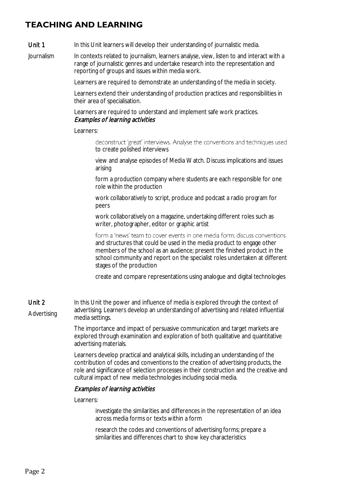## **TEACHING AND LEARNING**

#### Unit 1 In this Unit learners will develop their understanding of journalistic media.

Journalism In contexts related to journalism, learners analyse, view, listen to and interact with a range of journalistic genres and undertake research into the representation and reporting of groups and issues within media work.

Learners are required to demonstrate an understanding of the media in society.

Learners extend their understanding of production practices and responsibilities in their area of specialisation.

Learners are required to understand and implement safe work practices. Examples of learning activities

## Learners:

deconstruct 'great' interviews. Analyse the conventions and techniques used to create polished interviews

view and analyse episodes of Media Watch. Discuss implications and issues arising

form a production company where students are each responsible for one role within the production

work collaboratively to script, produce and podcast a radio program for peers

work collaboratively on a magazine, undertaking different roles such as writer, photographer, editor or graphic artist

form a 'news' team to cover events in one media form; discuss conventions and structures that could be used in the media product to engage other members of the school as an audience; present the finished product in the school community and report on the specialist roles undertaken at different stages of the production

create and compare representations using analogue and digital technologies

Unit 2 Advertising In this Unit the power and influence of media is explored through the context of advertising. Learners develop an understanding of advertising and related influential media settings.

> The importance and impact of persuasive communication and target markets are explored through examination and exploration of both qualitative and quantitative advertising materials.

Learners develop practical and analytical skills, including an understanding of the contribution of codes and conventions to the creation of advertising products, the role and significance of selection processes in their construction and the creative and cultural impact of new media technologies including social media.

## Examples of learning activities

Learners:

investigate the similarities and differences in the representation of an idea across media forms or texts within a form

research the codes and conventions of advertising forms; prepare a similarities and differences chart to show key characteristics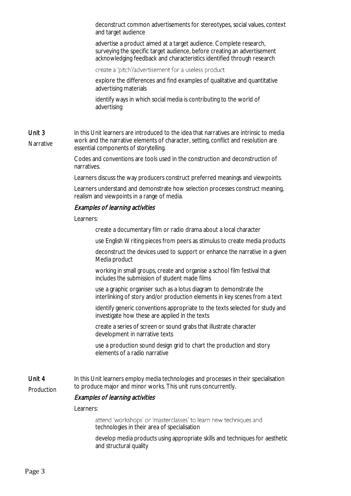deconstruct common advertisements for stereotypes, social values, context and target audience

advertise a product aimed at a target audience. Complete research, surveying the specific target audience, before creating an advertisement acknowledging feedback and characteristics identified through research

create a 'pitch'/advertisement for a useless product

explore the differences and find examples of qualitative and quantitative advertising materials

identify ways in which social media is contributing to the world of advertising

Unit 3 Narrative In this Unit learners are introduced to the idea that narratives are intrinsic to media work and the narrative elements of character, setting, conflict and resolution are essential components of storytelling.

> Codes and conventions are tools used in the construction and deconstruction of narratives.

Learners discuss the way producers construct preferred meanings and viewpoints.

Learners understand and demonstrate how selection processes construct meaning, realism and viewpoints in a range of media.

## Examples of learning activities

Learners:

create a documentary film or radio drama about a local character

use English Writing pieces from peers as stimulus to create media products

deconstruct the devices used to support or enhance the narrative in a given Media product

working in small groups, create and organise a school film festival that includes the submission of student made films

use a graphic organiser such as a lotus diagram to demonstrate the interlinking of story and/or production elements in key scenes from a text

identify generic conventions appropriate to the texts selected for study and investigate how these are applied in the texts

create a series of screen or sound grabs that illustrate character development in narrative texts

use a production sound design grid to chart the production and story elements of a radio narrative

Unit 4 Production In this Unit learners employ media technologies and processes in their specialisation to produce major and minor works. This unit runs concurrently.

## Examples of learning activities

Learners:

attend 'workshops' or 'masterclasses' to learn new techniques and technologies in their area of specialisation

develop media products using appropriate skills and techniques for aesthetic and structural quality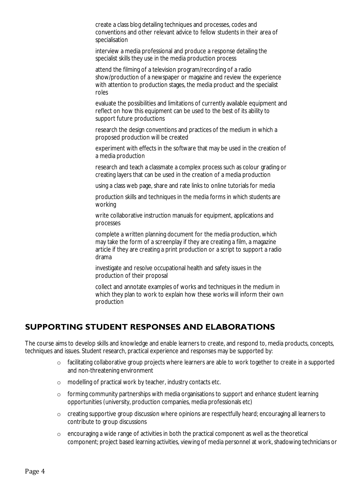create a class blog detailing techniques and processes, codes and conventions and other relevant advice to fellow students in their area of specialisation

interview a media professional and produce a response detailing the specialist skills they use in the media production process

attend the filming of a television program/recording of a radio show/production of a newspaper or magazine and review the experience with attention to production stages, the media product and the specialist roles

evaluate the possibilities and limitations of currently available equipment and reflect on how this equipment can be used to the best of its ability to support future productions

research the design conventions and practices of the medium in which a proposed production will be created

experiment with effects in the software that may be used in the creation of a media production

research and teach a classmate a complex process such as colour grading or creating layers that can be used in the creation of a media production

using a class web page, share and rate links to online tutorials for media

production skills and techniques in the media forms in which students are working

write collaborative instruction manuals for equipment, applications and processes

complete a written planning document for the media production, which may take the form of a screenplay if they are creating a film, a magazine article if they are creating a print production or a script to support a radio drama

investigate and resolve occupational health and safety issues in the production of their proposal

collect and annotate examples of works and techniques in the medium in which they plan to work to explain how these works will inform their own production

## **SUPPORTING STUDENT RESPONSES AND ELABORATIONS**

The course aims to develop skills and knowledge and enable learners to create, and respond to, media products, concepts, techniques and issues. Student research, practical experience and responses may be supported by:

- o facilitating collaborative group projects where learners are able to work together to create in a supported and non-threatening environment
- o modelling of practical work by teacher, industry contacts etc.
- o forming community partnerships with media organisations to support and enhance student learning opportunities (university, production companies, media professionals etc)
- o creating supportive group discussion where opinions are respectfully heard; encouraging all learners to contribute to group discussions
- o encouraging a wide range of activities in both the practical component as well as the theoretical component; project based learning activities, viewing of media personnel at work, shadowing technicians or